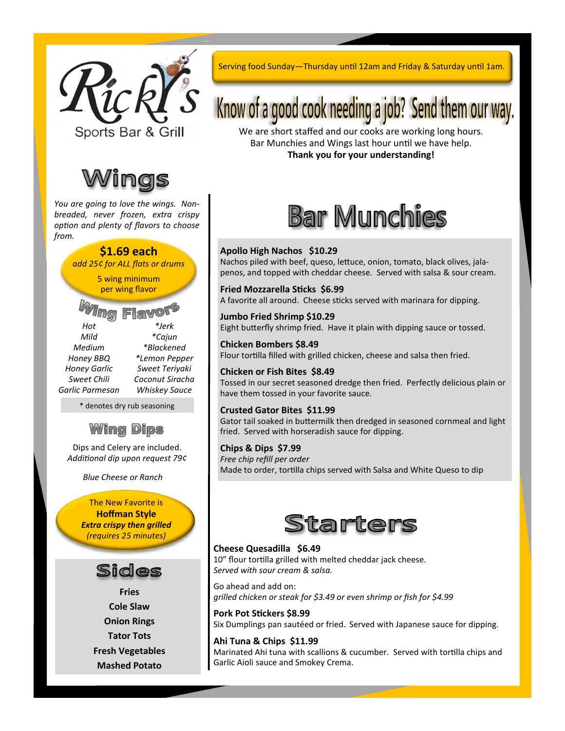



*You are going to love the wings. Nonbreaded, never frozen, extra crispy option and plenty of flavors to choose from.*

#### **\$1.69 each**

*add 25¢ for ALL flats or drums*

5 wing minimum per wing flavor

 $\boldsymbol{\Pi}$ Q $\boldsymbol{\Pi}$ *Hot \*Jerk Mild \*Cajun Medium \*Blackened Honey BBQ \*Lemon Pepper Honey Garlic Sweet Teriyaki Sweet Chili Coconut Siracha Garlic Parmesan Whiskey Sauce*

\* denotes dry rub seasoning

### **Wing Dips**

Dips and Celery are included. *Additional dip upon request 79¢*

*Blue Cheese or Ranch*

The New Favorite is **Hoffman Style** *Extra crispy then grilled (requires 25 minutes)*

### Sides

**Fries Cole Slaw Onion Rings Tator Tots Fresh Vegetables Mashed Potato**

Serving food Sunday—Thursday until 12am and Friday & Saturday until 1am.

# Know of a good cook needing a job? Send them our way.

We are short staffed and our cooks are working long hours. Bar Munchies and Wings last hour until we have help. **Thank you for your understanding!**



#### **Apollo High Nachos \$10.29**

Nachos piled with beef, queso, lettuce, onion, tomato, black olives, jalapenos, and topped with cheddar cheese. Served with salsa & sour cream.

**Fried Mozzarella Sticks \$6.99** A favorite all around. Cheese sticks served with marinara for dipping.

**Jumbo Fried Shrimp \$10.29** Eight butterfly shrimp fried. Have it plain with dipping sauce or tossed.

**Chicken Bombers \$8.49** Flour tortilla filled with grilled chicken, cheese and salsa then fried.

**Chicken or Fish Bites \$8.49** Tossed in our secret seasoned dredge then fried. Perfectly delicious plain or have them tossed in your favorite sauce.

#### **Crusted Gator Bites \$11.99**

Gator tail soaked in buttermilk then dredged in seasoned cornmeal and light fried. Served with horseradish sauce for dipping.

#### **Chips & Dips \$7.99**

*Free chip refill per order* Made to order, tortilla chips served with Salsa and White Queso to dip



#### **Cheese Quesadilla \$6.49**

10" flour tortilla grilled with melted cheddar jack cheese. *Served with sour cream & salsa.* 

Go ahead and add on: *grilled chicken or steak for \$3.49 or even shrimp or fish for \$4.99*

**Pork Pot Stickers \$8.99** Six Dumplings pan sautéed or fried.. Served with Japanese sauce for dipping.

**Ahi Tuna & Chips \$11.99** Marinated Ahi tuna with scallions & cucumber. Served with tortilla chips and Garlic Aioli sauce and Smokey Crema.